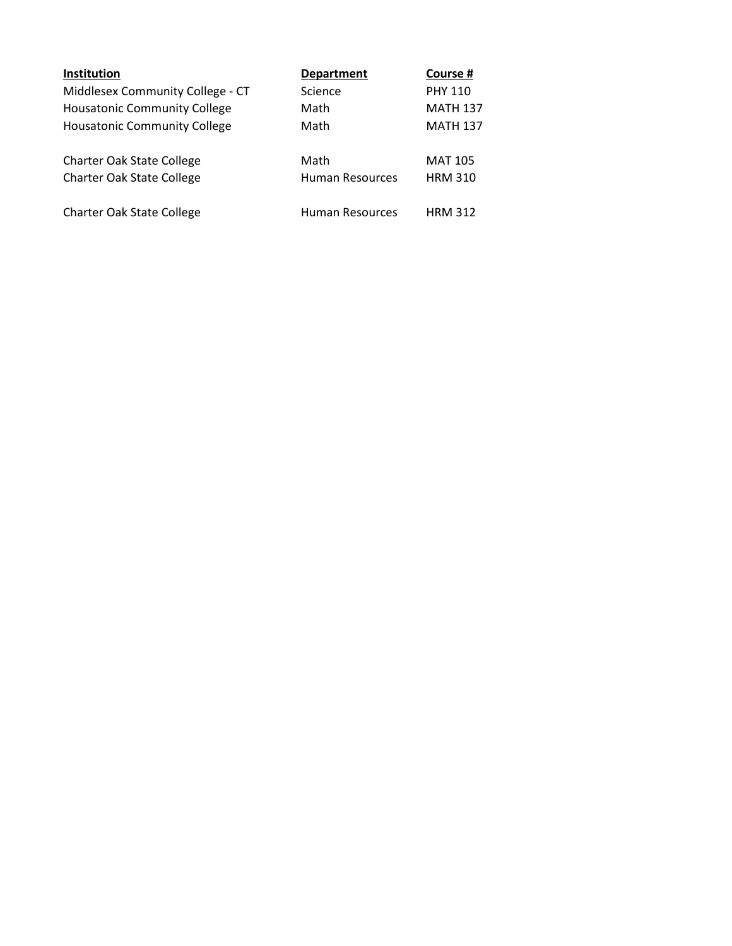| Institution                         | <b>Department</b> | Course #        |
|-------------------------------------|-------------------|-----------------|
| Middlesex Community College - CT    | Science           | <b>PHY 110</b>  |
| <b>Housatonic Community College</b> | Math              | <b>MATH 137</b> |
| <b>Housatonic Community College</b> | Math              | <b>MATH 137</b> |
| <b>Charter Oak State College</b>    | Math              | <b>MAT 105</b>  |
| <b>Charter Oak State College</b>    | Human Resources   | <b>HRM 310</b>  |
| <b>Charter Oak State College</b>    | Human Resources   | <b>HRM 312</b>  |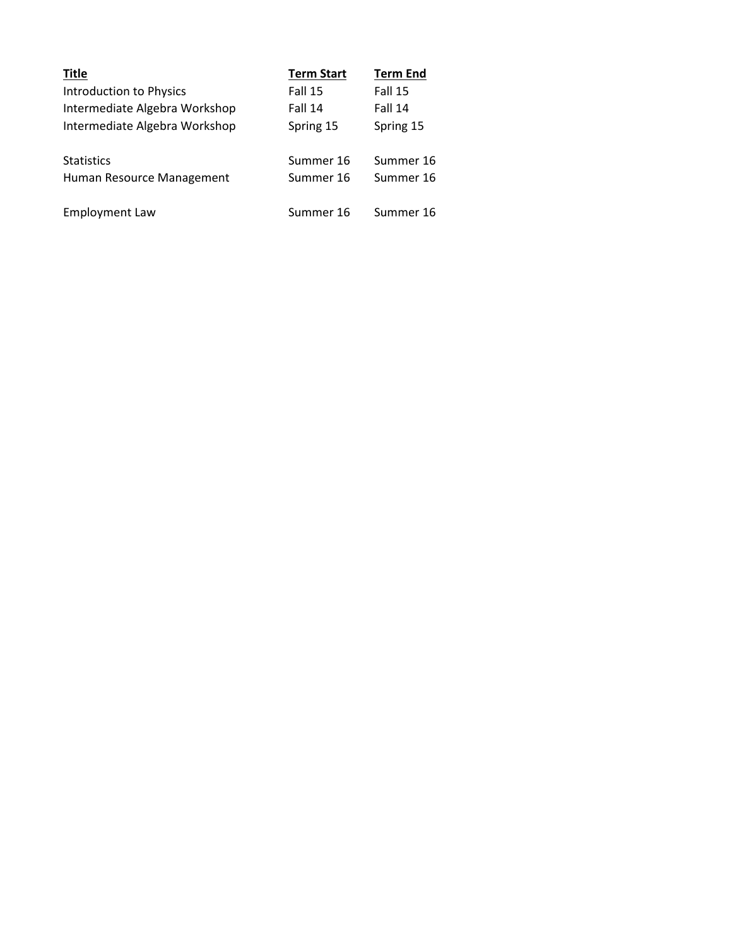| <b>Title</b>                  | <b>Term Start</b> | <b>Term End</b> |
|-------------------------------|-------------------|-----------------|
| Introduction to Physics       | Fall 15           | Fall 15         |
| Intermediate Algebra Workshop | Fall 14           | Fall 14         |
| Intermediate Algebra Workshop | Spring 15         | Spring 15       |
| <b>Statistics</b>             | Summer 16         | Summer 16       |
| Human Resource Management     | Summer 16         | Summer 16       |
| Employment Law                | Summer 16         | Summer 16       |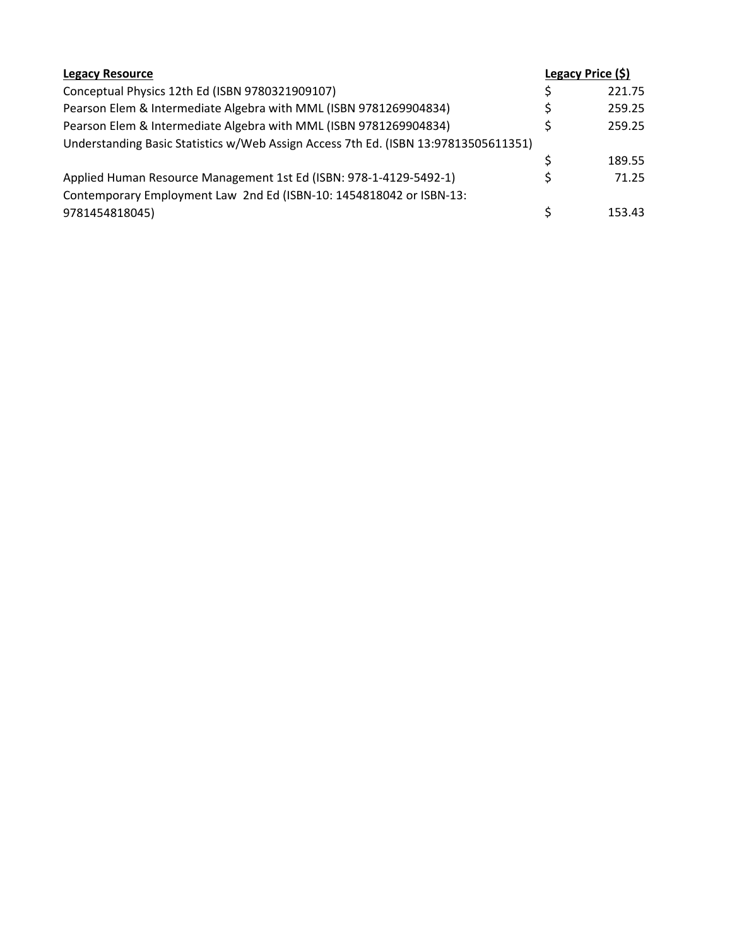| <b>Legacy Resource</b>                                                              |   | Legacy Price (\$) |
|-------------------------------------------------------------------------------------|---|-------------------|
| Conceptual Physics 12th Ed (ISBN 9780321909107)                                     | Ś | 221.75            |
| Pearson Elem & Intermediate Algebra with MML (ISBN 9781269904834)                   | Ś | 259.25            |
| Pearson Elem & Intermediate Algebra with MML (ISBN 9781269904834)                   | Ś | 259.25            |
| Understanding Basic Statistics w/Web Assign Access 7th Ed. (ISBN 13:97813505611351) |   |                   |
|                                                                                     | Ś | 189.55            |
| Applied Human Resource Management 1st Ed (ISBN: 978-1-4129-5492-1)                  | S | 71.25             |
| Contemporary Employment Law 2nd Ed (ISBN-10: 1454818042 or ISBN-13:                 |   |                   |
| 9781454818045)                                                                      | Ś | 153.43            |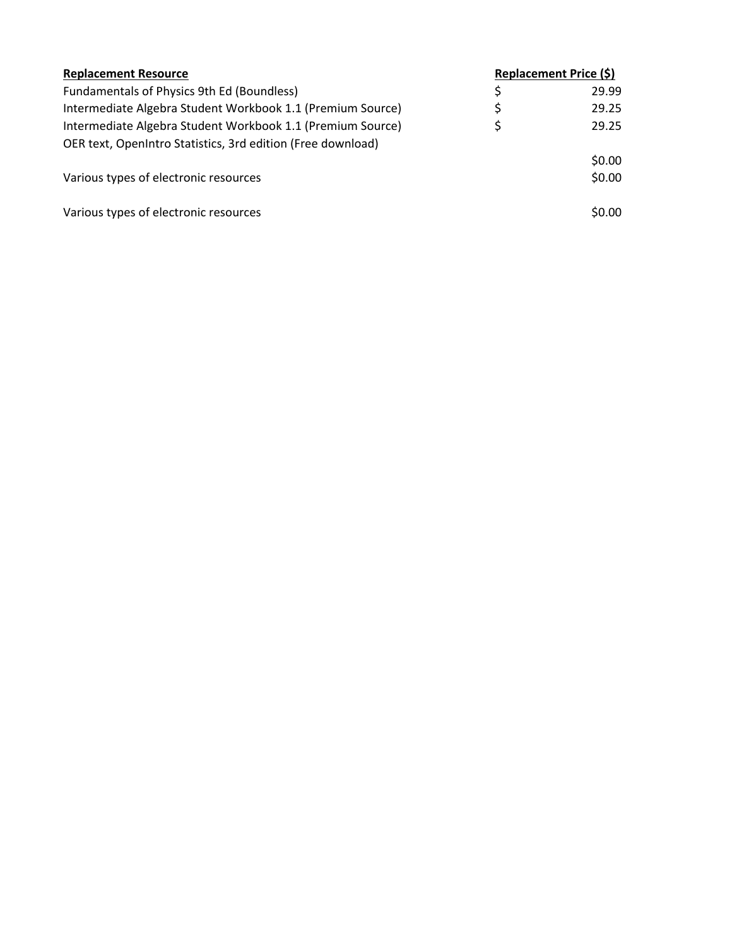| <b>Replacement Resource</b>                                 | Replacement Price (\$) |        |
|-------------------------------------------------------------|------------------------|--------|
| Fundamentals of Physics 9th Ed (Boundless)                  | \$                     | 29.99  |
| Intermediate Algebra Student Workbook 1.1 (Premium Source)  | \$                     | 29.25  |
| Intermediate Algebra Student Workbook 1.1 (Premium Source)  | \$                     | 29.25  |
| OER text, OpenIntro Statistics, 3rd edition (Free download) |                        |        |
|                                                             |                        | \$0.00 |
| Various types of electronic resources                       |                        | \$0.00 |
| Various types of electronic resources                       |                        | \$0.00 |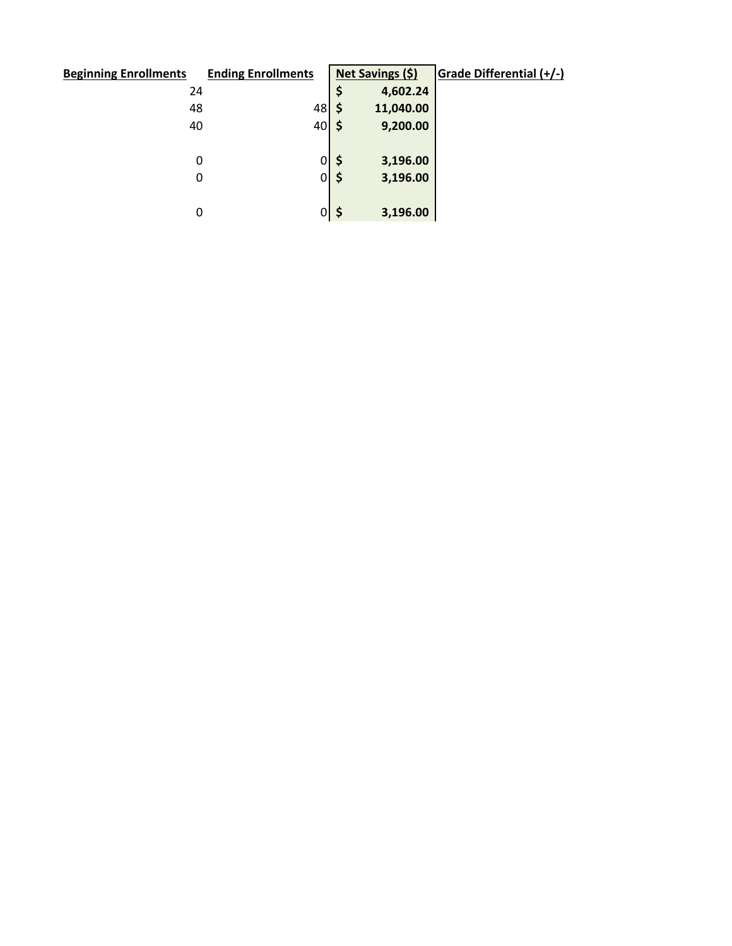| <b>Beginning Enrollments</b> | <b>Ending Enrollments</b>         |          | Net Savings (\$) | Grade Differential (+/-) |
|------------------------------|-----------------------------------|----------|------------------|--------------------------|
| 24                           |                                   | \$       | 4,602.24         |                          |
| 48                           | 48                                | \$       | 11,040.00        |                          |
| 40                           | $40\overline{\smash{\big)}\,}$ \$ |          | 9,200.00         |                          |
|                              |                                   |          |                  |                          |
| 0                            | 0                                 | \$       | 3,196.00         |                          |
| 0                            | $\overline{0}$                    | \$       | 3,196.00         |                          |
|                              |                                   |          |                  |                          |
| 0                            |                                   | $0$   \$ | 3,196.00         |                          |